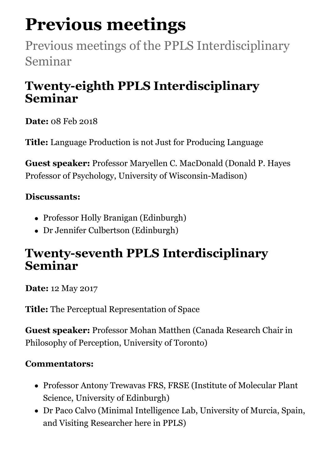# **Previous meetings**

Previous meetings of the PPLS Interdisciplinary Seminar

### **Twenty-eighth PPLS Interdisciplinary Seminar**

**Date:** 08 Feb 2018

**Title:** Language Production is not Just for Producing Language

**Guest speaker:** Professor Maryellen C. MacDonald (Donald P. Hayes Professor of Psychology, University of Wisconsin-Madison)

#### **Discussants:**

- Professor Holly Branigan (Edinburgh)
- Dr Jennifer Culbertson (Edinburgh)

### **Twenty-seventh PPLS Interdisciplinary Seminar**

**Date:** 12 May 2017

**Title:** The Perceptual Representation of Space

**Guest speaker:** Professor Mohan Matthen (Canada Research Chair in Philosophy of Perception, University of Toronto)

#### **Commentators:**

- Professor Antony Trewavas FRS, FRSE (Institute of Molecular Plant Science, University of Edinburgh)
- Dr Paco Calvo (Minimal Intelligence Lab, University of Murcia, Spain, and Visiting Researcher here in PPLS)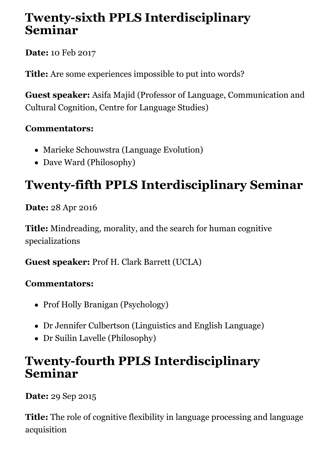### **Twenty-sixth PPLS Interdisciplinary Seminar**

**Date:** 10 Feb 2017

**Title:** Are some experiences impossible to put into words?

**Guest speaker:** Asifa Majid (Professor of Language, Communication and Cultural Cognition, Centre for Language Studies)

#### **Commentators:**

- Marieke Schouwstra (Language Evolution)
- Dave Ward (Philosophy)

# **Twenty-fifth PPLS Interdisciplinary Seminar**

**Date:** 28 Apr 2016

**Title:** Mindreading, morality, and the search for human cognitive specializations

**Guest speaker:** Prof H. Clark Barrett (UCLA)

#### **Commentators:**

- Prof Holly Branigan (Psychology)
- Dr Jennifer Culbertson (Linguistics and English Language)
- Dr Suilin Lavelle (Philosophy)

### **Twenty-fourth PPLS Interdisciplinary Seminar**

**Date:** 29 Sep 2015

**Title:** The role of cognitive flexibility in language processing and language acquisition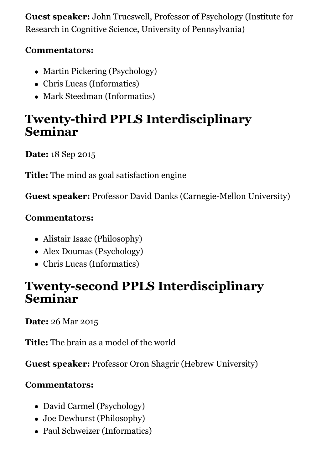**Guest speaker:** John Trueswell, Professor of Psychology (Institute for Research in Cognitive Science, University of Pennsylvania)

#### **Commentators:**

- Martin Pickering (Psychology)
- Chris Lucas (Informatics)
- Mark Steedman (Informatics)

### **Twenty-third PPLS Interdisciplinary Seminar**

**Date:** 18 Sep 2015

**Title:** The mind as goal satisfaction engine

**Guest speaker:** Professor David Danks (Carnegie-Mellon University)

#### **Commentators:**

- Alistair Isaac (Philosophy)
- Alex Doumas (Psychology)
- Chris Lucas (Informatics)

### **Twenty-second PPLS Interdisciplinary Seminar**

**Date:** 26 Mar 2015

**Title:** The brain as a model of the world

**Guest speaker:** Professor Oron Shagrir (Hebrew University)

#### **Commentators:**

- David Carmel (Psychology)
- Joe Dewhurst (Philosophy)
- Paul Schweizer (Informatics)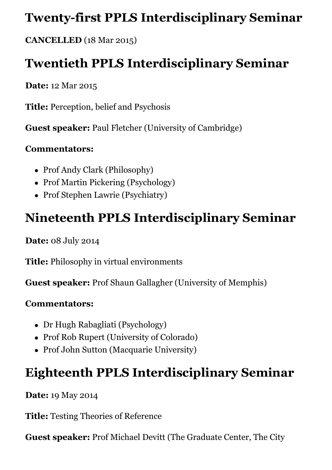### **Twenty-first PPLS Interdisciplinary Seminar**

**CANCELLED** (18 Mar 2015)

### **Twentieth PPLS Interdisciplinary Seminar**

**Date:** 12 Mar 2015

**Title:** Perception, belief and Psychosis

**Guest speaker:** Paul Fletcher (University of Cambridge)

#### **Commentators:**

- Prof Andy Clark (Philosophy)
- Prof Martin Pickering (Psychology)
- Prof Stephen Lawrie (Psychiatry)

### **Nineteenth PPLS Interdisciplinary Seminar**

**Date:** 08 July 2014

**Title:** Philosophy in virtual environments

**Guest speaker:** Prof Shaun Gallagher (University of Memphis)

#### **Commentators:**

- Dr Hugh Rabagliati (Psychology)
- Prof Rob Rupert (University of Colorado)
- Prof John Sutton (Macquarie University)

### **Eighteenth PPLS Interdisciplinary Seminar**

**Date:** 19 May 2014

**Title:** Testing Theories of Reference

**Guest speaker:** Prof Michael Devitt (The Graduate Center, The City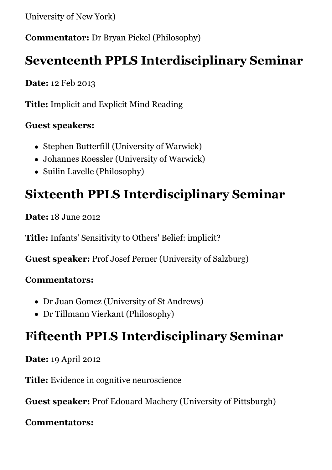University of New York)

**Commentator:** Dr Bryan Pickel (Philosophy)

### **Seventeenth PPLS Interdisciplinary Seminar**

**Date:** 12 Feb 2013

**Title:** Implicit and Explicit Mind Reading

#### **Guest speakers:**

- Stephen Butterfill (University of Warwick)
- Johannes Roessler (University of Warwick)
- Suilin Lavelle (Philosophy)

### **Sixteenth PPLS Interdisciplinary Seminar**

**Date:** 18 June 2012

**Title:** Infants' Sensitivity to Others' Belief: implicit?

**Guest speaker:** Prof Josef Perner (University of Salzburg)

#### **Commentators:**

- Dr Juan Gomez (University of St Andrews)
- Dr Tillmann Vierkant (Philosophy)

### **Fifteenth PPLS Interdisciplinary Seminar**

**Date:** 19 April 2012

**Title:** Evidence in cognitive neuroscience

**Guest speaker:** Prof Edouard Machery (University of Pittsburgh)

**Commentators:**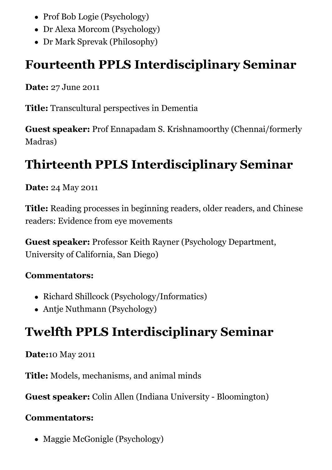- Prof Bob Logie (Psychology)
- Dr Alexa Morcom (Psychology)
- Dr Mark Sprevak (Philosophy)

### **Fourteenth PPLS Interdisciplinary Seminar**

**Date:** 27 June 2011

**Title:** Transcultural perspectives in Dementia

**Guest speaker:** Prof Ennapadam S. Krishnamoorthy (Chennai/formerly Madras)

# **Thirteenth PPLS Interdisciplinary Seminar**

#### **Date:** 24 May 2011

**Title:** Reading processes in beginning readers, older readers, and Chinese readers: Evidence from eye movements

**Guest speaker:** Professor Keith Rayner (Psychology Department, University of California, San Diego)

#### **Commentators:**

- Richard Shillcock (Psychology/Informatics)
- Antje Nuthmann (Psychology)

### **Twelfth PPLS Interdisciplinary Seminar**

**Date:**10 May 2011

**Title:** Models, mechanisms, and animal minds

**Guest speaker:** Colin Allen (Indiana University - Bloomington)

#### **Commentators:**

• Maggie McGonigle (Psychology)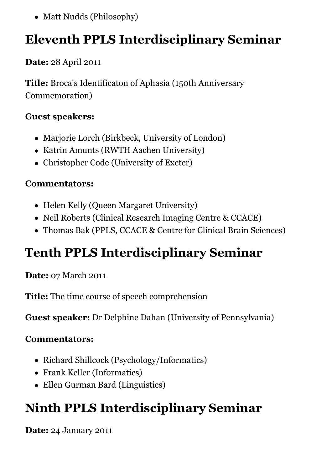• Matt Nudds (Philosophy)

### **Eleventh PPLS Interdisciplinary Seminar**

**Date:** 28 April 2011

**Title:** Broca's Identificaton of Aphasia (150th Anniversary Commemoration)

#### **Guest speakers:**

- Marjorie Lorch (Birkbeck, University of London)
- Katrin Amunts (RWTH Aachen University)
- Christopher Code (University of Exeter)

#### **Commentators:**

- Helen Kelly (Queen Margaret University)
- Neil Roberts (Clinical Research Imaging Centre & CCACE)
- Thomas Bak (PPLS, CCACE & Centre for Clinical Brain Sciences)

# **Tenth PPLS Interdisciplinary Seminar**

**Date:** 07 March 2011

**Title:** The time course of speech comprehension

**Guest speaker:** Dr Delphine Dahan (University of Pennsylvania)

#### **Commentators:**

- Richard Shillcock (Psychology/Informatics)
- Frank Keller (Informatics)
- Ellen Gurman Bard (Linguistics)

# **Ninth PPLS Interdisciplinary Seminar**

**Date:** 24 January 2011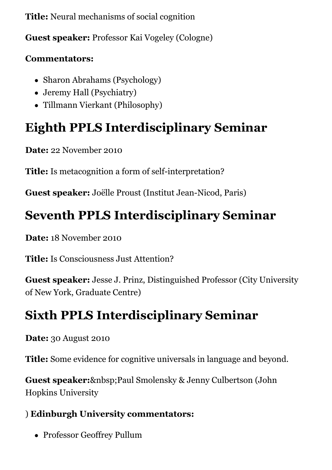**Title:** Neural mechanisms of social cognition

**Guest speaker:** Professor Kai Vogeley (Cologne)

#### **Commentators:**

- Sharon Abrahams (Psychology)
- Jeremy Hall (Psychiatry)
- Tillmann Vierkant (Philosophy)

# **Eighth PPLS Interdisciplinary Seminar**

**Date:** 22 November 2010

**Title:** Is metacognition a form of self-interpretation?

**Guest speaker:** Joëlle Proust (Institut Jean-Nicod, Paris)

# **Seventh PPLS Interdisciplinary Seminar**

**Date:** 18 November 2010

**Title:** Is Consciousness Just Attention?

**Guest speaker:** Jesse J. Prinz, Distinguished Professor (City University of New York, Graduate Centre)

# **Sixth PPLS Interdisciplinary Seminar**

**Date:** 30 August 2010

**Title:** Some evidence for cognitive universals in language and beyond.

**Guest speaker:** & nbsp; Paul Smolensky & Jenny Culbertson (John Hopkins University

#### ) **Edinburgh University commentators:**

Professor Geoffrey Pullum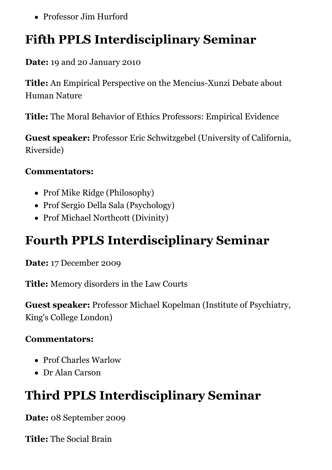Professor Jim Hurford

# **Fifth PPLS Interdisciplinary Seminar**

**Date:** 19 and 20 January 2010

**Title:** An Empirical Perspective on the Mencius-Xunzi Debate about Human Nature

**Title:** The Moral Behavior of Ethics Professors: Empirical Evidence

**Guest speaker:** Professor Eric Schwitzgebel (University of California, Riverside)

#### **Commentators:**

- Prof Mike Ridge (Philosophy)
- Prof Sergio Della Sala (Psychology)
- Prof Michael Northcott (Divinity)

### **Fourth PPLS Interdisciplinary Seminar**

**Date:** 17 December 2009

**Title:** Memory disorders in the Law Courts

**Guest speaker:** Professor Michael Kopelman (Institute of Psychiatry, King's College London)

#### **Commentators:**

- Prof Charles Warlow
- Dr Alan Carson

# **Third PPLS Interdisciplinary Seminar**

**Date:** 08 September 2009

**Title:** The Social Brain